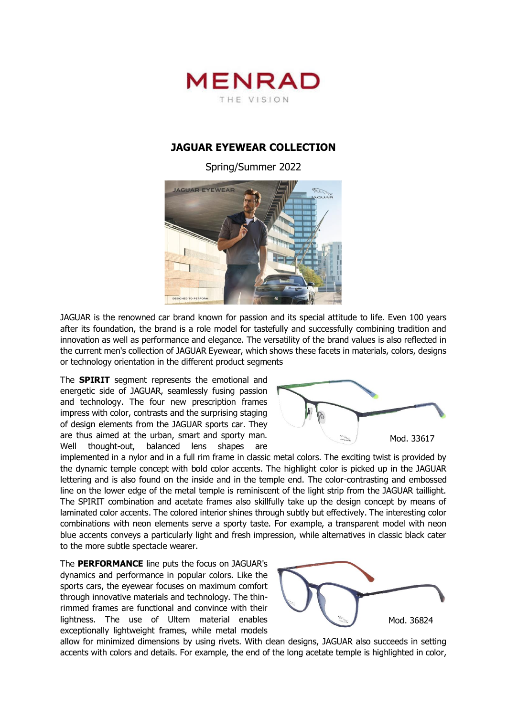

## **JAGUAR EYEWEAR COLLECTION**

Spring/Summer 2022



JAGUAR is the renowned car brand known for passion and its special attitude to life. Even 100 years after its foundation, the brand is a role model for tastefully and successfully combining tradition and innovation as well as performance and elegance. The versatility of the brand values is also reflected in the current men's collection of JAGUAR Eyewear, which shows these facets in materials, colors, designs or technology orientation in the different product segments

The **SPIRIT** segment represents the emotional and energetic side of JAGUAR, seamlessly fusing passion and technology. The four new prescription frames impress with color, contrasts and the surprising staging of design elements from the JAGUAR sports car. They are thus aimed at the urban, smart and sporty man. Well thought-out, balanced lens shapes are



implemented in a nylor and in a full rim frame in classic metal colors. The exciting twist is provided by the dynamic temple concept with bold color accents. The highlight color is picked up in the JAGUAR lettering and is also found on the inside and in the temple end. The color-contrasting and embossed line on the lower edge of the metal temple is reminiscent of the light strip from the JAGUAR taillight. The SPIRIT combination and acetate frames also skillfully take up the design concept by means of laminated color accents. The colored interior shines through subtly but effectively. The interesting color combinations with neon elements serve a sporty taste. For example, a transparent model with neon blue accents conveys a particularly light and fresh impression, while alternatives in classic black cater to the more subtle spectacle wearer.

The **PERFORMANCE** line puts the focus on JAGUAR's dynamics and performance in popular colors. Like the sports cars, the eyewear focuses on maximum comfort through innovative materials and technology. The thinrimmed frames are functional and convince with their lightness. The use of Ultem material enables exceptionally lightweight frames, while metal models



allow for minimized dimensions by using rivets. With clean designs, JAGUAR also succeeds in setting accents with colors and details. For example, the end of the long acetate temple is highlighted in color,